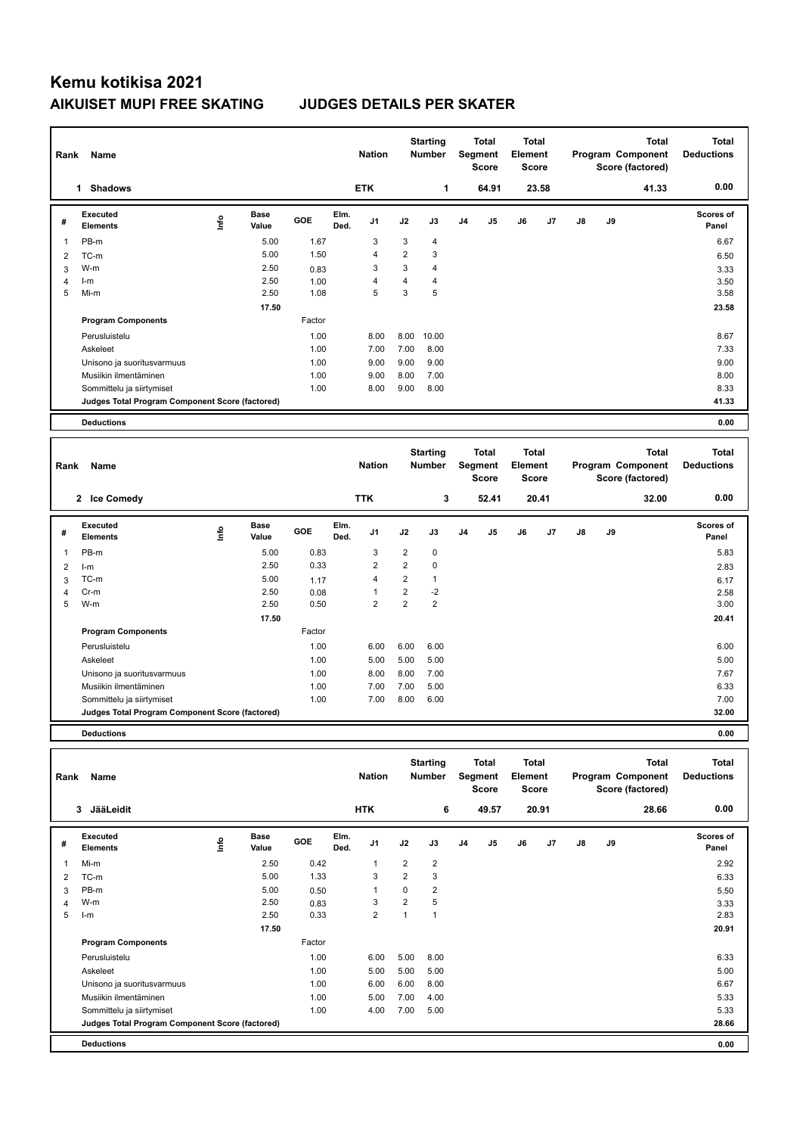# **Kemu kotikisa 2021 AIKUISET MUPI FREE SKATING JUDGES DETAILS PER SKATER**

| Rank             | Name                                            |      |                      |        |              | <b>Nation</b>  |                | <b>Starting</b><br><b>Number</b> |                | <b>Total</b><br>Segment<br>Score        | <b>Total</b><br>Element | Score                 |    |    | <b>Total</b><br>Program Component<br>Score (factored) | <b>Total</b><br><b>Deductions</b> |
|------------------|-------------------------------------------------|------|----------------------|--------|--------------|----------------|----------------|----------------------------------|----------------|-----------------------------------------|-------------------------|-----------------------|----|----|-------------------------------------------------------|-----------------------------------|
|                  | 1 Shadows                                       |      |                      |        |              | <b>ETK</b>     |                | 1                                |                | 64.91                                   |                         | 23.58                 |    |    | 41.33                                                 | 0.00                              |
| #                | <b>Executed</b><br><b>Elements</b>              | lnfo | <b>Base</b><br>Value | GOE    | Elm.<br>Ded. | J1             | J2             | J3                               | J <sub>4</sub> | J5                                      | J6                      | J7                    | J8 | J9 |                                                       | Scores of<br>Panel                |
| 1                | PB-m                                            |      | 5.00                 | 1.67   |              | 3              | 3              | 4                                |                |                                         |                         |                       |    |    |                                                       | 6.67                              |
| $\overline{2}$   | TC-m                                            |      | 5.00                 | 1.50   |              | 4              | $\overline{2}$ | 3                                |                |                                         |                         |                       |    |    |                                                       | 6.50                              |
| 3                | W-m                                             |      | 2.50                 | 0.83   |              | 3              | $\overline{3}$ | $\overline{4}$                   |                |                                         |                         |                       |    |    |                                                       | 3.33                              |
| 4                | I-m                                             |      | 2.50                 | 1.00   |              | 4              | 4              | 4                                |                |                                         |                         |                       |    |    |                                                       | 3.50                              |
| 5                | Mi-m                                            |      | 2.50                 | 1.08   |              | 5              | $\mathbf{3}$   | 5                                |                |                                         |                         |                       |    |    |                                                       | 3.58                              |
|                  |                                                 |      | 17.50                |        |              |                |                |                                  |                |                                         |                         |                       |    |    |                                                       | 23.58                             |
|                  | <b>Program Components</b>                       |      |                      | Factor |              |                |                |                                  |                |                                         |                         |                       |    |    |                                                       |                                   |
|                  | Perusluistelu                                   |      |                      | 1.00   |              | 8.00           | 8.00           | 10.00                            |                |                                         |                         |                       |    |    |                                                       | 8.67                              |
|                  | Askeleet                                        |      |                      | 1.00   |              | 7.00           | 7.00           | 8.00                             |                |                                         |                         |                       |    |    |                                                       | 7.33                              |
|                  | Unisono ja suoritusvarmuus                      |      |                      | 1.00   |              | 9.00           | 9.00           | 9.00                             |                |                                         |                         |                       |    |    |                                                       | 9.00                              |
|                  | Musiikin ilmentäminen                           |      |                      | 1.00   |              | 9.00           | 8.00           | 7.00                             |                |                                         |                         |                       |    |    |                                                       | 8.00                              |
|                  | Sommittelu ja siirtymiset                       |      |                      | 1.00   |              | 8.00           | 9.00           | 8.00                             |                |                                         |                         |                       |    |    |                                                       | 8.33                              |
|                  | Judges Total Program Component Score (factored) |      |                      |        |              |                |                |                                  |                |                                         |                         |                       |    |    |                                                       | 41.33                             |
|                  | <b>Deductions</b>                               |      |                      |        |              |                |                |                                  |                |                                         |                         |                       |    |    |                                                       | 0.00                              |
|                  |                                                 |      |                      |        |              |                |                |                                  |                |                                         |                         |                       |    |    |                                                       |                                   |
|                  |                                                 |      |                      |        |              |                |                | <b>Starting</b>                  |                | <b>Total</b>                            | <b>Total</b>            |                       |    |    | <b>Total</b>                                          | <b>Total</b>                      |
| Rank             | Name                                            |      |                      |        |              | <b>Nation</b>  |                | <b>Number</b>                    |                | Segment<br><b>Score</b>                 | Element                 | Score                 |    |    | Program Component<br>Score (factored)                 | <b>Deductions</b>                 |
|                  | 2 Ice Comedy                                    |      |                      |        |              | <b>TTK</b>     |                | 3                                |                | 52.41                                   |                         | 20.41                 |    |    | 32.00                                                 | 0.00                              |
|                  |                                                 |      |                      |        |              |                |                |                                  |                |                                         |                         |                       |    |    |                                                       |                                   |
| #                | <b>Executed</b><br><b>Elements</b>              | lnfo | <b>Base</b><br>Value | GOE    | Elm.<br>Ded. | J1             | J2             | J3                               | J <sub>4</sub> | J5                                      | J6                      | J7                    | J8 | J9 |                                                       | Scores of<br>Panel                |
| $\mathbf{1}$     | PB-m                                            |      | 5.00                 | 0.83   |              | 3              | $\overline{2}$ | 0                                |                |                                         |                         |                       |    |    |                                                       | 5.83                              |
| $\boldsymbol{2}$ | $l-m$                                           |      | 2.50                 | 0.33   |              | $\overline{2}$ | $\overline{2}$ | $\mathbf 0$                      |                |                                         |                         |                       |    |    |                                                       | 2.83                              |
| 3                | TC-m                                            |      | 5.00                 | 1.17   |              | 4              | $\overline{2}$ | 1                                |                |                                         |                         |                       |    |    |                                                       | 6.17                              |
| 4                | Cr-m                                            |      | 2.50                 | 0.08   |              | $\mathbf{1}$   | $\sqrt{2}$     | $-2$                             |                |                                         |                         |                       |    |    |                                                       | 2.58                              |
| 5                | W-m                                             |      | 2.50                 | 0.50   |              | $\overline{2}$ | $\overline{2}$ | $\overline{2}$                   |                |                                         |                         |                       |    |    |                                                       | 3.00                              |
|                  |                                                 |      | 17.50                |        |              |                |                |                                  |                |                                         |                         |                       |    |    |                                                       | 20.41                             |
|                  | <b>Program Components</b>                       |      |                      | Factor |              |                |                |                                  |                |                                         |                         |                       |    |    |                                                       |                                   |
|                  | Perusluistelu                                   |      |                      | 1.00   |              | 6.00           | 6.00           | 6.00                             |                |                                         |                         |                       |    |    |                                                       | 6.00                              |
|                  | Askeleet                                        |      |                      | 1.00   |              | 5.00           | 5.00           | 5.00                             |                |                                         |                         |                       |    |    |                                                       | 5.00                              |
|                  | Unisono ja suoritusvarmuus                      |      |                      | 1.00   |              | 8.00           | 8.00           | 7.00                             |                |                                         |                         |                       |    |    |                                                       | 7.67                              |
|                  | Musiikin ilmentäminen                           |      |                      | 1.00   |              | 7.00           | 7.00           | 5.00                             |                |                                         |                         |                       |    |    |                                                       | 6.33                              |
|                  | Sommittelu ja siirtymiset                       |      |                      | 1.00   |              | 7.00           | 8.00           | 6.00                             |                |                                         |                         |                       |    |    |                                                       | 7.00                              |
|                  | Judges Total Program Component Score (factored) |      |                      |        |              |                |                |                                  |                |                                         |                         |                       |    |    |                                                       | 32.00                             |
|                  | <b>Deductions</b>                               |      |                      |        |              |                |                |                                  |                |                                         |                         |                       |    |    |                                                       | 0.00                              |
|                  |                                                 |      |                      |        |              |                |                |                                  |                |                                         |                         |                       |    |    |                                                       |                                   |
| Rank             | Name                                            |      |                      |        |              | <b>Nation</b>  |                | <b>Starting</b><br><b>Number</b> |                | <b>Total</b><br>Segment<br><b>Score</b> | Element                 | Total<br><b>Score</b> |    |    | <b>Total</b><br>Program Component<br>Score (factored) | <b>Total</b><br><b>Deductions</b> |
|                  | 3 JääLeidit                                     |      |                      |        |              | <b>HTK</b>     |                | 6                                |                | 49.57                                   |                         | 20.91                 |    |    | 28.66                                                 | 0.00                              |

|                      | $\cdot$<br><u>vuutviuit</u>                     |      |                      |        |              |                |                | v              |                | ⊸…… |    | -  |    |    | - |                    |
|----------------------|-------------------------------------------------|------|----------------------|--------|--------------|----------------|----------------|----------------|----------------|-----|----|----|----|----|---|--------------------|
| #                    | Executed<br><b>Elements</b>                     | lnfo | <b>Base</b><br>Value | GOE    | Elm.<br>Ded. | J <sub>1</sub> | J2             | J3             | J <sub>4</sub> | J5  | J6 | J7 | J8 | J9 |   | Scores of<br>Panel |
| 1                    | Mi-m                                            |      | 2.50                 | 0.42   |              | 1              | $\overline{2}$ | $\overline{2}$ |                |     |    |    |    |    |   | 2.92               |
| $\mathbf{2}^{\circ}$ | TC-m                                            |      | 5.00                 | 1.33   |              | 3              | $\overline{2}$ | 3              |                |     |    |    |    |    |   | 6.33               |
| 3                    | PB-m                                            |      | 5.00                 | 0.50   |              | 1              | 0              | 2              |                |     |    |    |    |    |   | 5.50               |
| 4                    | W-m                                             |      | 2.50                 | 0.83   |              | 3              | $\overline{2}$ | 5              |                |     |    |    |    |    |   | 3.33               |
| 5                    | $l-m$                                           |      | 2.50                 | 0.33   |              | $\overline{2}$ |                | 1              |                |     |    |    |    |    |   | 2.83               |
|                      |                                                 |      | 17.50                |        |              |                |                |                |                |     |    |    |    |    |   | 20.91              |
|                      | <b>Program Components</b>                       |      |                      | Factor |              |                |                |                |                |     |    |    |    |    |   |                    |
|                      | Perusluistelu                                   |      |                      | 1.00   |              | 6.00           | 5.00           | 8.00           |                |     |    |    |    |    |   | 6.33               |
|                      | Askeleet                                        |      |                      | 1.00   |              | 5.00           | 5.00           | 5.00           |                |     |    |    |    |    |   | 5.00               |
|                      | Unisono ja suoritusvarmuus                      |      |                      | 1.00   |              | 6.00           | 6.00           | 8.00           |                |     |    |    |    |    |   | 6.67               |
|                      | Musiikin ilmentäminen                           |      |                      | 1.00   |              | 5.00           | 7.00           | 4.00           |                |     |    |    |    |    |   | 5.33               |
|                      | Sommittelu ja siirtymiset                       |      |                      | 1.00   |              | 4.00           | 7.00           | 5.00           |                |     |    |    |    |    |   | 5.33               |
|                      | Judges Total Program Component Score (factored) |      |                      |        |              |                |                |                |                |     |    |    |    |    |   | 28.66              |
|                      | <b>Deductions</b>                               |      |                      |        |              |                |                |                |                |     |    |    |    |    |   | 0.00               |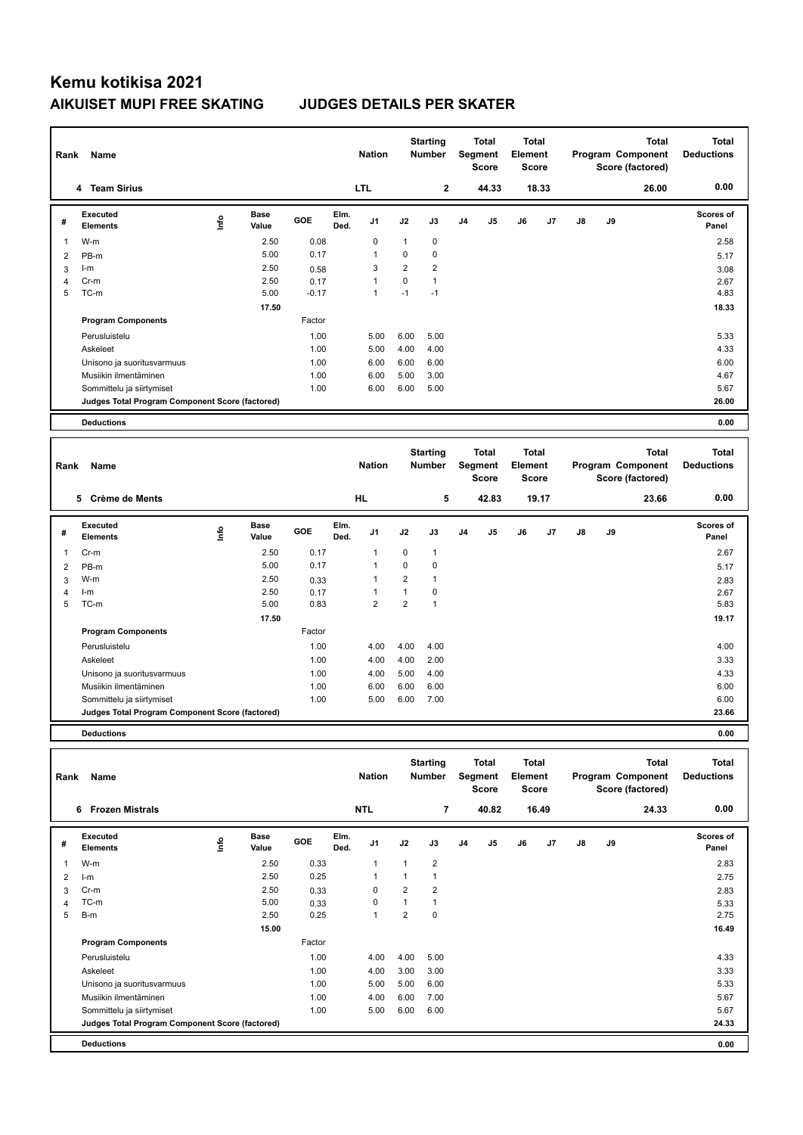# **Kemu kotikisa 2021 AIKUISET MUPI FREE SKATING JUDGES DETAILS PER SKATER**

| Rank           | Name                                            |      |                      |              |              | <b>Nation</b>     |                                | <b>Starting</b><br><b>Number</b> |                | <b>Total</b><br>Segment<br><b>Score</b> | <b>Total</b><br>Element | Score        |               |    | <b>Total</b><br>Program Component<br>Score (factored) | <b>Total</b><br><b>Deductions</b> |
|----------------|-------------------------------------------------|------|----------------------|--------------|--------------|-------------------|--------------------------------|----------------------------------|----------------|-----------------------------------------|-------------------------|--------------|---------------|----|-------------------------------------------------------|-----------------------------------|
|                | 4 Team Sirius                                   |      |                      |              |              | <b>LTL</b>        |                                | $\mathbf{2}$                     |                | 44.33                                   |                         | 18.33        |               |    | 26.00                                                 | 0.00                              |
| #              | Executed<br><b>Elements</b>                     | ١nf٥ | <b>Base</b><br>Value | GOE          | Elm.<br>Ded. | J1                | J2                             | J3                               | J <sub>4</sub> | J5                                      | J6                      | J7           | J8            | J9 |                                                       | <b>Scores of</b><br>Panel         |
| 1              | W-m                                             |      | 2.50                 | 0.08         |              | $\mathbf 0$       | 1                              | $\pmb{0}$                        |                |                                         |                         |              |               |    |                                                       | 2.58                              |
| $\overline{2}$ | PB-m                                            |      | 5.00                 | 0.17         |              | 1                 | 0                              | $\mathbf 0$                      |                |                                         |                         |              |               |    |                                                       | 5.17                              |
| 3              | $l-m$                                           |      | 2.50                 | 0.58         |              | 3                 | $\overline{2}$                 | $\overline{2}$                   |                |                                         |                         |              |               |    |                                                       | 3.08                              |
| 4              | Cr-m                                            |      | 2.50                 | 0.17         |              | $\mathbf{1}$      | 0                              | $\mathbf{1}$                     |                |                                         |                         |              |               |    |                                                       | 2.67                              |
| 5              | TC-m                                            |      | 5.00                 | $-0.17$      |              | $\mathbf{1}$      | $-1$                           | $-1$                             |                |                                         |                         |              |               |    |                                                       | 4.83                              |
|                |                                                 |      | 17.50                |              |              |                   |                                |                                  |                |                                         |                         |              |               |    |                                                       | 18.33                             |
|                | <b>Program Components</b>                       |      |                      | Factor       |              |                   |                                |                                  |                |                                         |                         |              |               |    |                                                       |                                   |
|                | Perusluistelu                                   |      |                      | 1.00         |              | 5.00              | 6.00                           | 5.00                             |                |                                         |                         |              |               |    |                                                       | 5.33                              |
|                | Askeleet                                        |      |                      | 1.00         |              | 5.00              | 4.00                           | 4.00                             |                |                                         |                         |              |               |    |                                                       | 4.33                              |
|                | Unisono ja suoritusvarmuus                      |      |                      | 1.00         |              | 6.00              | 6.00                           | 6.00                             |                |                                         |                         |              |               |    |                                                       | 6.00                              |
|                | Musiikin ilmentäminen                           |      |                      | 1.00         |              | 6.00              | 5.00                           | 3.00                             |                |                                         |                         |              |               |    |                                                       | 4.67                              |
|                | Sommittelu ja siirtymiset                       |      |                      | 1.00         |              | 6.00              | 6.00                           | 5.00                             |                |                                         |                         |              |               |    |                                                       | 5.67                              |
|                | Judges Total Program Component Score (factored) |      |                      |              |              |                   |                                |                                  |                |                                         |                         |              |               |    |                                                       | 26.00                             |
|                | <b>Deductions</b>                               |      |                      |              |              |                   |                                |                                  |                |                                         |                         |              |               |    |                                                       | 0.00                              |
|                |                                                 |      |                      |              |              |                   |                                |                                  |                |                                         |                         |              |               |    |                                                       |                                   |
|                |                                                 |      |                      |              |              |                   |                                |                                  |                |                                         |                         |              |               |    |                                                       |                                   |
| Rank           | Name                                            |      |                      |              |              | <b>Nation</b>     |                                | <b>Starting</b><br><b>Number</b> |                | <b>Total</b><br>Segment                 | <b>Total</b><br>Element |              |               |    | <b>Total</b><br>Program Component                     | <b>Total</b><br><b>Deductions</b> |
|                |                                                 |      |                      |              |              |                   |                                |                                  |                | <b>Score</b>                            |                         | <b>Score</b> |               |    | Score (factored)                                      |                                   |
|                | 5 Crème de Ments                                |      |                      |              |              | <b>HL</b>         |                                | 5                                |                | 42.83                                   |                         | 19.17        |               |    | 23.66                                                 | 0.00                              |
| #              | <b>Executed</b><br>Elements                     |      | <b>Base</b><br>Value | GOE          | Elm.<br>Ded. | J1                | J2                             | J3                               | J <sub>4</sub> | J5                                      | J6                      | J7           | $\mathsf{J}8$ | J9 |                                                       | <b>Scores of</b><br>Panel         |
|                |                                                 | Info |                      |              |              |                   |                                |                                  |                |                                         |                         |              |               |    |                                                       |                                   |
| $\mathbf{1}$   | Cr-m                                            |      | 2.50                 | 0.17         |              | $\mathbf{1}$      | 0                              | $\mathbf{1}$                     |                |                                         |                         |              |               |    |                                                       | 2.67                              |
| $\overline{2}$ | PB-m                                            |      | 5.00                 | 0.17         |              | $\mathbf{1}$<br>1 | 0                              | $\mathbf 0$                      |                |                                         |                         |              |               |    |                                                       | 5.17                              |
| 3              | W-m<br>$l-m$                                    |      | 2.50                 | 0.33         |              | $\mathbf{1}$      | $\overline{2}$<br>$\mathbf{1}$ | $\mathbf{1}$<br>$\pmb{0}$        |                |                                         |                         |              |               |    |                                                       | 2.83                              |
| 4<br>5         | TC-m                                            |      | 2.50<br>5.00         | 0.17<br>0.83 |              | $\overline{2}$    | $\overline{2}$                 | $\overline{1}$                   |                |                                         |                         |              |               |    |                                                       | 2.67<br>5.83                      |
|                |                                                 |      | 17.50                |              |              |                   |                                |                                  |                |                                         |                         |              |               |    |                                                       | 19.17                             |
|                | <b>Program Components</b>                       |      |                      | Factor       |              |                   |                                |                                  |                |                                         |                         |              |               |    |                                                       |                                   |
|                | Perusluistelu                                   |      |                      | 1.00         |              | 4.00              | 4.00                           | 4.00                             |                |                                         |                         |              |               |    |                                                       | 4.00                              |
|                | Askeleet                                        |      |                      | 1.00         |              | 4.00              | 4.00                           | 2.00                             |                |                                         |                         |              |               |    |                                                       | 3.33                              |
|                | Unisono ja suoritusvarmuus                      |      |                      | 1.00         |              | 4.00              | 5.00                           | 4.00                             |                |                                         |                         |              |               |    |                                                       | 4.33                              |
|                | Musiikin ilmentäminen                           |      |                      | 1.00         |              | 6.00              | 6.00                           | 6.00                             |                |                                         |                         |              |               |    |                                                       | 6.00                              |
|                | Sommittelu ja siirtymiset                       |      |                      | 1.00         |              | 5.00              | 6.00                           | 7.00                             |                |                                         |                         |              |               |    |                                                       | 6.00                              |
|                | Judges Total Program Component Score (factored) |      |                      |              |              |                   |                                |                                  |                |                                         |                         |              |               |    |                                                       | 23.66                             |

| Name                        |                           |                      |                                                 |              | <b>Nation</b>  |                |                |                                  |    |                                                  |    |                                                  |    | <b>Total</b> | <b>Total</b><br><b>Deductions</b>     |
|-----------------------------|---------------------------|----------------------|-------------------------------------------------|--------------|----------------|----------------|----------------|----------------------------------|----|--------------------------------------------------|----|--------------------------------------------------|----|--------------|---------------------------------------|
|                             |                           |                      |                                                 |              |                |                | $\overline{7}$ |                                  |    |                                                  |    |                                                  |    | 24.33        | 0.00                                  |
| Executed<br><b>Elements</b> | ١nfo                      | <b>Base</b><br>Value | GOE                                             | Elm.<br>Ded. | J <sub>1</sub> | J2             | J3             | J <sub>4</sub>                   | J5 | J6                                               | J7 | J8                                               | J9 |              | Scores of<br>Panel                    |
| W-m                         |                           | 2.50                 | 0.33                                            |              | $\overline{1}$ |                | $\overline{2}$ |                                  |    |                                                  |    |                                                  |    |              | 2.83                                  |
| $l-m$                       |                           | 2.50                 | 0.25                                            |              |                |                |                |                                  |    |                                                  |    |                                                  |    |              | 2.75                                  |
| $Cr-m$                      |                           | 2.50                 | 0.33                                            |              | 0              | $\overline{2}$ | $\overline{2}$ |                                  |    |                                                  |    |                                                  |    |              | 2.83                                  |
| TC-m                        |                           | 5.00                 | 0.33                                            |              | 0              |                | 1              |                                  |    |                                                  |    |                                                  |    |              | 5.33                                  |
| B-m                         |                           | 2.50                 | 0.25                                            |              | $\mathbf{1}$   | $\overline{2}$ | 0              |                                  |    |                                                  |    |                                                  |    |              | 2.75                                  |
|                             |                           | 15.00                |                                                 |              |                |                |                |                                  |    |                                                  |    |                                                  |    |              | 16.49                                 |
| <b>Program Components</b>   |                           |                      | Factor                                          |              |                |                |                |                                  |    |                                                  |    |                                                  |    |              |                                       |
| Perusluistelu               |                           |                      | 1.00                                            |              | 4.00           | 4.00           | 5.00           |                                  |    |                                                  |    |                                                  |    |              | 4.33                                  |
| Askeleet                    |                           |                      | 1.00                                            |              | 4.00           | 3.00           | 3.00           |                                  |    |                                                  |    |                                                  |    |              | 3.33                                  |
| Unisono ja suoritusvarmuus  |                           |                      | 1.00                                            |              | 5.00           | 5.00           | 6.00           |                                  |    |                                                  |    |                                                  |    |              | 5.33                                  |
| Musiikin ilmentäminen       |                           |                      | 1.00                                            |              | 4.00           | 6.00           | 7.00           |                                  |    |                                                  |    |                                                  |    |              | 5.67                                  |
| Sommittelu ja siirtymiset   |                           |                      | 1.00                                            |              | 5.00           | 6.00           | 6.00           |                                  |    |                                                  |    |                                                  |    |              | 5.67                                  |
|                             |                           |                      |                                                 |              |                |                |                |                                  |    |                                                  |    |                                                  |    |              | 24.33                                 |
| <b>Deductions</b>           |                           |                      |                                                 |              |                |                |                |                                  |    |                                                  |    |                                                  |    |              | 0.00                                  |
|                             | Rank<br>6 Frozen Mistrals |                      | Judges Total Program Component Score (factored) |              |                | <b>NTL</b>     |                | <b>Starting</b><br><b>Number</b> |    | <b>Total</b><br>Segment<br><b>Score</b><br>40.82 |    | <b>Total</b><br>Element<br><b>Score</b><br>16.49 |    |              | Program Component<br>Score (factored) |